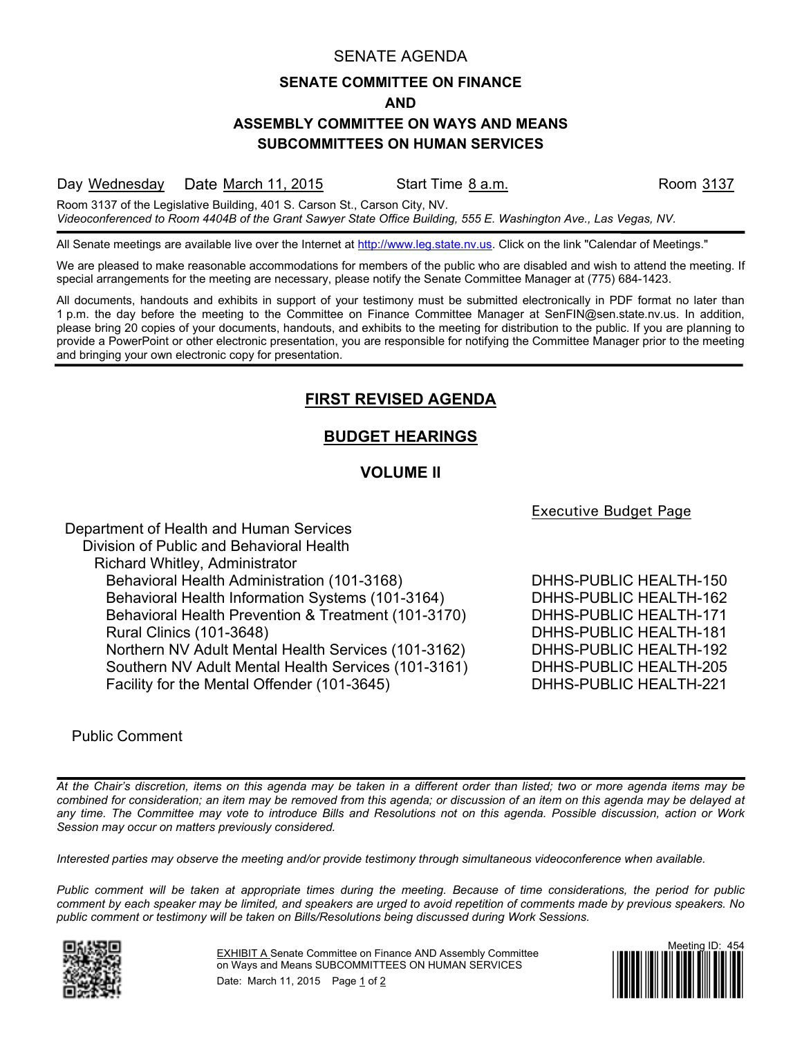### SENATE AGENDA

### **SENATE COMMITTEE ON FINANCE**

#### **AND**

### **ASSEMBLY COMMITTEE ON WAYS AND MEANS SUBCOMMITTEES ON HUMAN SERVICES**

Day Wednesday Date March 11, 2015 Start Time 8 a.m. Start Room 3137

Room 3137 of the Legislative Building, 401 S. Carson St., Carson City, NV. *Videoconferenced to Room 4404B of the Grant Sawyer State Office Building, 555 E. Washington Ave., Las Vegas, NV.*

All Senate meetings are available live over the Internet at [http://www.leg.state.nv.us.](http://www.leg.state.nv.us/) Click on the link "Calendar of Meetings."

We are pleased to make reasonable accommodations for members of the public who are disabled and wish to attend the meeting. If special arrangements for the meeting are necessary, please notify the Senate Committee Manager at (775) 684-1423.

All documents, handouts and exhibits in support of your testimony must be submitted electronically in PDF format no later than 1 p.m. the day before the meeting to the Committee on Finance Committee Manager at SenFIN@sen.state.nv.us. In addition, please bring 20 copies of your documents, handouts, and exhibits to the meeting for distribution to the public. If you are planning to provide a PowerPoint or other electronic presentation, you are responsible for notifying the Committee Manager prior to the meeting and bringing your own electronic copy for presentation.

# **FIRST REVISED AGENDA**

# **BUDGET HEARINGS**

## **VOLUME lI**

Executive Budget Page

Department of Health and Human Services Division of Public and Behavioral Health Richard Whitley, Administrator Behavioral Health Administration (101-3168) DHHS-PUBLIC HEALTH-150 Behavioral Health Information Systems (101-3164) DHHS-PUBLIC HEALTH-162 Behavioral Health Prevention & Treatment (101-3170) DHHS-PUBLIC HEALTH-171 Rural Clinics (101-3648) DHHS-PUBLIC HEALTH-181 Northern NV Adult Mental Health Services (101-3162) DHHS-PUBLIC HEALTH-192 Southern NV Adult Mental Health Services (101-3161) DHHS-PUBLIC HEALTH-205 Facility for the Mental Offender (101-3645) DHHS-PUBLIC HEALTH-221

### Public Comment

*At the Chair's discretion, items on this agenda may be taken in a different order than listed; two or more agenda items may be combined for consideration; an item may be removed from this agenda; or discussion of an item on this agenda may be delayed at any time. The Committee may vote to introduce Bills and Resolutions not on this agenda. Possible discussion, action or Work Session may occur on matters previously considered.*

*Interested parties may observe the meeting and/or provide testimony through simultaneous videoconference when available.*

*Public comment will be taken at appropriate times during the meeting. Because of time considerations, the period for public comment by each speaker may be limited, and speakers are urged to avoid repetition of comments made by previous speakers. No public comment or testimony will be taken on Bills/Resolutions being discussed during Work Sessions.*



EXHIBIT A Senate Committee on Finance AND Assembly Committee on Ways and Means SUBCOMMITTEES ON HUMAN SERVICES Date: March 11, 2015 Page 1 of 2